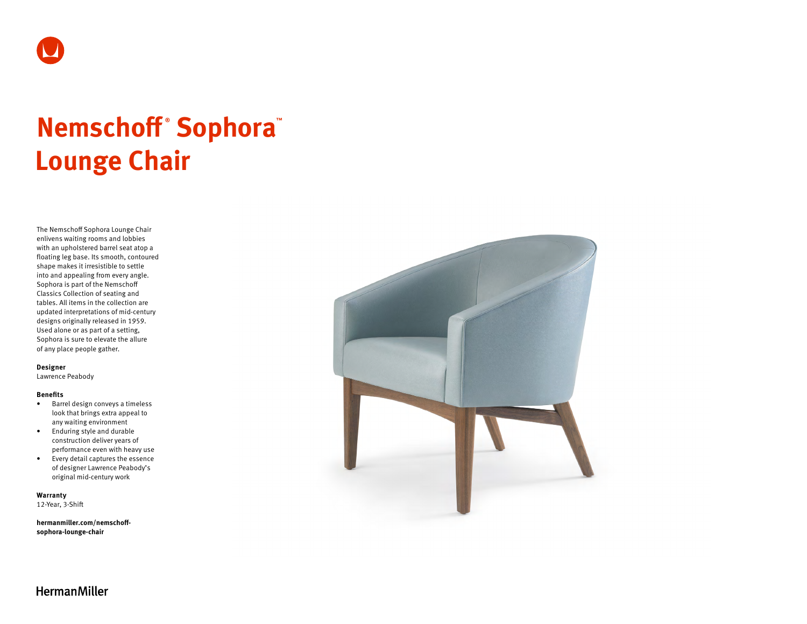

# **Nemschoff ® Sophora™ Lounge Chair**

The Nemschoff Sophora Lounge Chair enlivens waiting rooms and lobbies with an upholstered barrel seat atop a floating leg base. Its smooth, contoured shape makes it irresistible to settle into and appealing from every angle. Sophora is part of the Nemschoff Classics Collection of seating and tables. All items in the collection are updated interpretations of mid-century designs originally released in 1959. Used alone or as part of a setting, Sophora is sure to elevate the allure of any place people gather.

#### **Designer**

Lawrence Peabody

#### **Benefits**

- Barrel design conveys a timeless look that brings extra appeal to any waiting environment
- Enduring style and durable construction deliver years of performance even with heavy use
- Every detail captures the essence of designer Lawrence Peabody's original mid-century work

**Warranty**  12-Year, 3-Shift

**[hermanmiller.com/nemschoff](http://hermanmiller.com/nemschoff-sophora-lounge-chair)[sophora-lounge-chair](http://hermanmiller.com/nemschoff-sophora-lounge-chair)**



**HermanMiller**